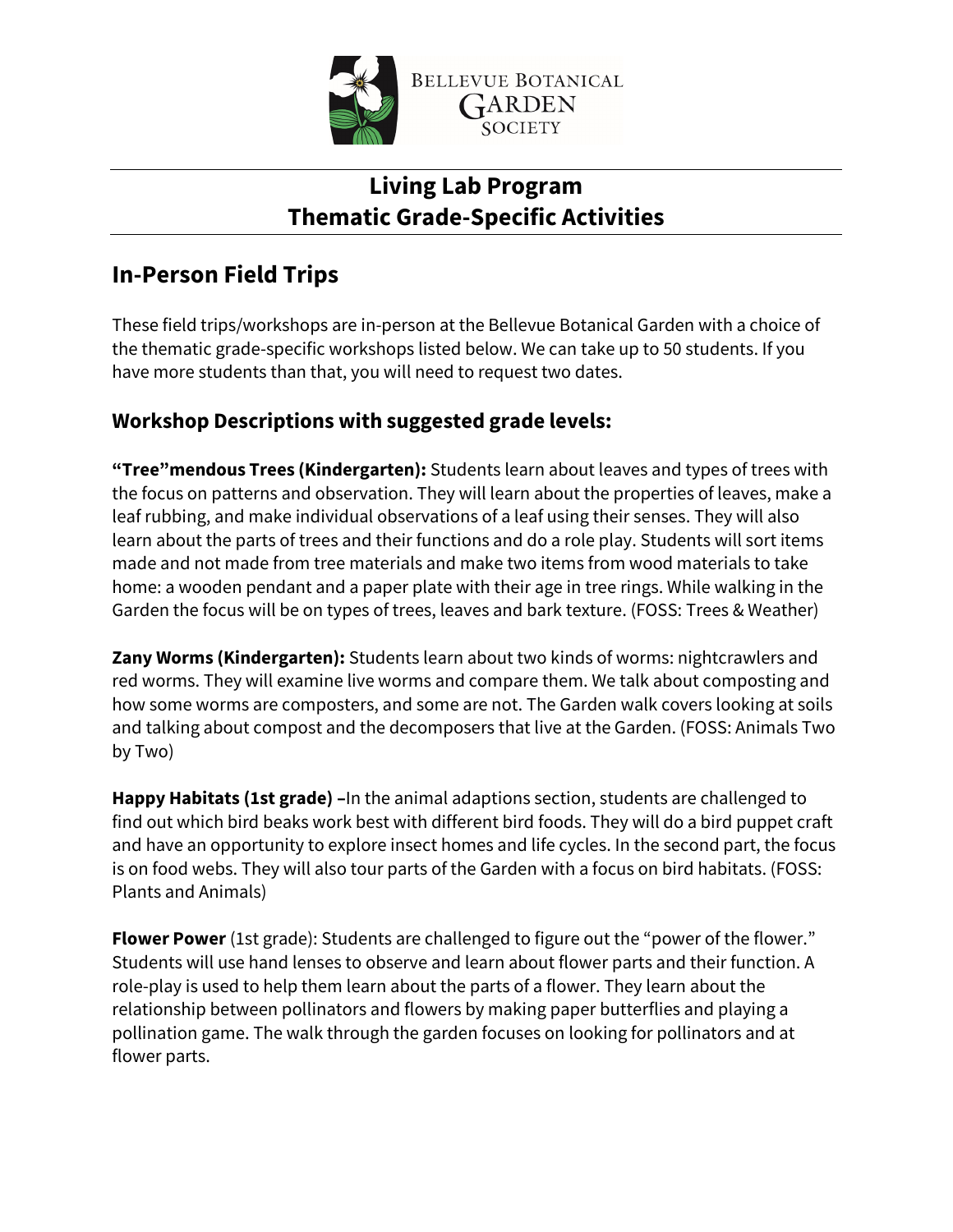

# **Living Lab Program Thematic Grade-Specific Activities**

# **In-Person Field Trips**

These field trips/workshops are in-person at the Bellevue Botanical Garden with a choice of the thematic grade-specific workshops listed below. We can take up to 50 students. If you have more students than that, you will need to request two dates.

## **Workshop Descriptions with suggested grade levels:**

**"Tree"mendous Trees (Kindergarten):** Students learn about leaves and types of trees with the focus on patterns and observation. They will learn about the properties of leaves, make a leaf rubbing, and make individual observations of a leaf using their senses. They will also learn about the parts of trees and their functions and do a role play. Students will sort items made and not made from tree materials and make two items from wood materials to take home: a wooden pendant and a paper plate with their age in tree rings. While walking in the Garden the focus will be on types of trees, leaves and bark texture. (FOSS: Trees & Weather)

**Zany Worms (Kindergarten):** Students learn about two kinds of worms: nightcrawlers and red worms. They will examine live worms and compare them. We talk about composting and how some worms are composters, and some are not. The Garden walk covers looking at soils and talking about compost and the decomposers that live at the Garden. (FOSS: Animals Two by Two)

**Happy Habitats (1st grade) –**In the animal adaptions section, students are challenged to find out which bird beaks work best with different bird foods. They will do a bird puppet craft and have an opportunity to explore insect homes and life cycles. In the second part, the focus is on food webs. They will also tour parts of the Garden with a focus on bird habitats. (FOSS: Plants and Animals)

**Flower Power** (1st grade): Students are challenged to figure out the "power of the flower." Students will use hand lenses to observe and learn about flower parts and their function. A role-play is used to help them learn about the parts of a flower. They learn about the relationship between pollinators and flowers by making paper butterflies and playing a pollination game. The walk through the garden focuses on looking for pollinators and at flower parts.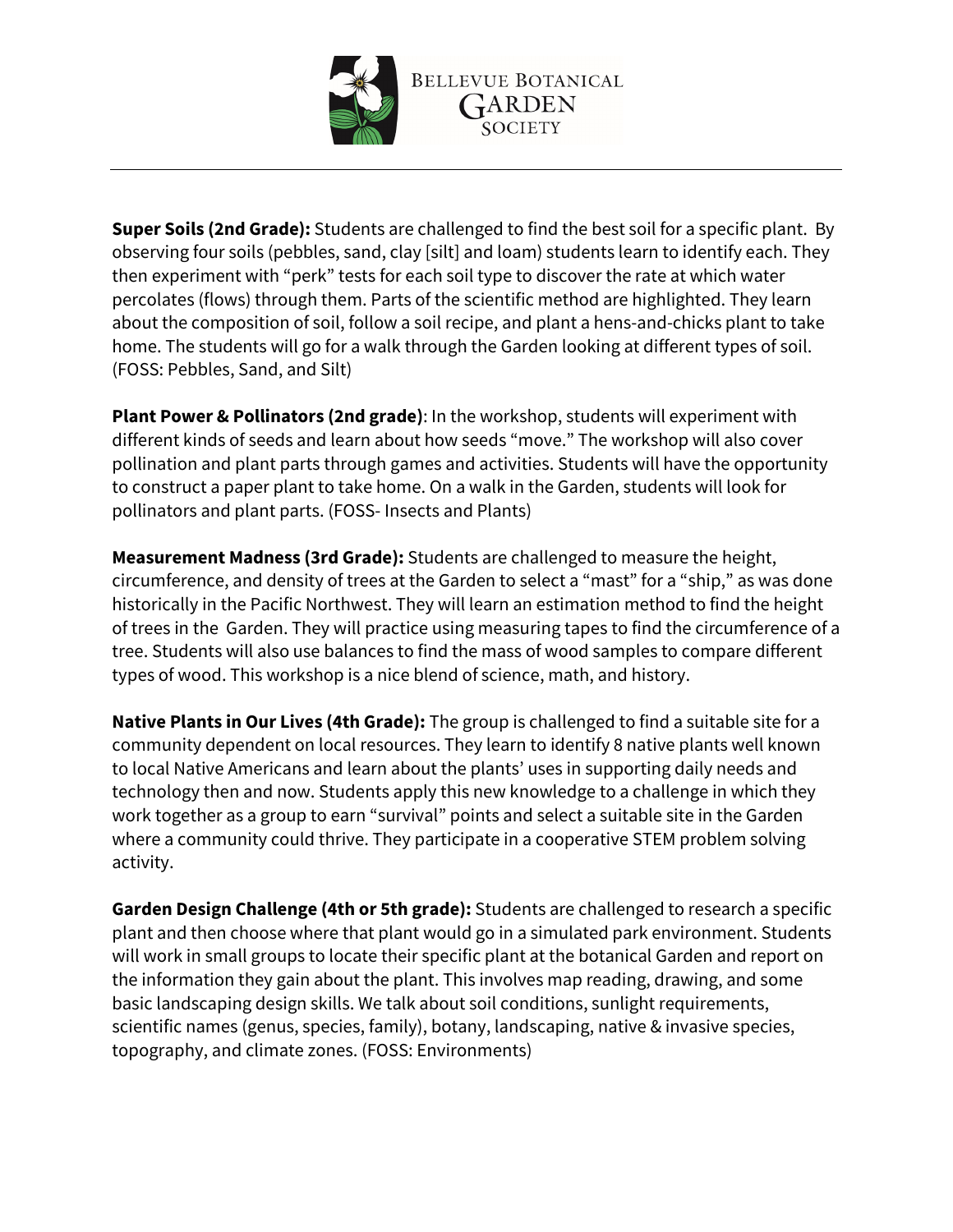

**Super Soils (2nd Grade):** Students are challenged to find the best soil for a specific plant. By observing four soils (pebbles, sand, clay [silt] and loam) students learn to identify each. They then experiment with "perk" tests for each soil type to discover the rate at which water percolates (flows) through them. Parts of the scientific method are highlighted. They learn about the composition of soil, follow a soil recipe, and plant a hens-and-chicks plant to take home. The students will go for a walk through the Garden looking at different types of soil. (FOSS: Pebbles, Sand, and Silt)

**Plant Power & Pollinators (2nd grade)**: In the workshop, students will experiment with different kinds of seeds and learn about how seeds "move." The workshop will also cover pollination and plant parts through games and activities. Students will have the opportunity to construct a paper plant to take home. On a walk in the Garden, students will look for pollinators and plant parts. (FOSS- Insects and Plants)

**Measurement Madness (3rd Grade):** Students are challenged to measure the height, circumference, and density of trees at the Garden to select a "mast" for a "ship," as was done historically in the Pacific Northwest. They will learn an estimation method to find the height of trees in the Garden. They will practice using measuring tapes to find the circumference of a tree. Students will also use balances to find the mass of wood samples to compare different types of wood. This workshop is a nice blend of science, math, and history.

**Native Plants in Our Lives (4th Grade):** The group is challenged to find a suitable site for a community dependent on local resources. They learn to identify 8 native plants well known to local Native Americans and learn about the plants' uses in supporting daily needs and technology then and now. Students apply this new knowledge to a challenge in which they work together as a group to earn "survival" points and select a suitable site in the Garden where a community could thrive. They participate in a cooperative STEM problem solving activity.

**Garden Design Challenge (4th or 5th grade):** Students are challenged to research a specific plant and then choose where that plant would go in a simulated park environment. Students will work in small groups to locate their specific plant at the botanical Garden and report on the information they gain about the plant. This involves map reading, drawing, and some basic landscaping design skills. We talk about soil conditions, sunlight requirements, scientific names (genus, species, family), botany, landscaping, native & invasive species, topography, and climate zones. (FOSS: Environments)